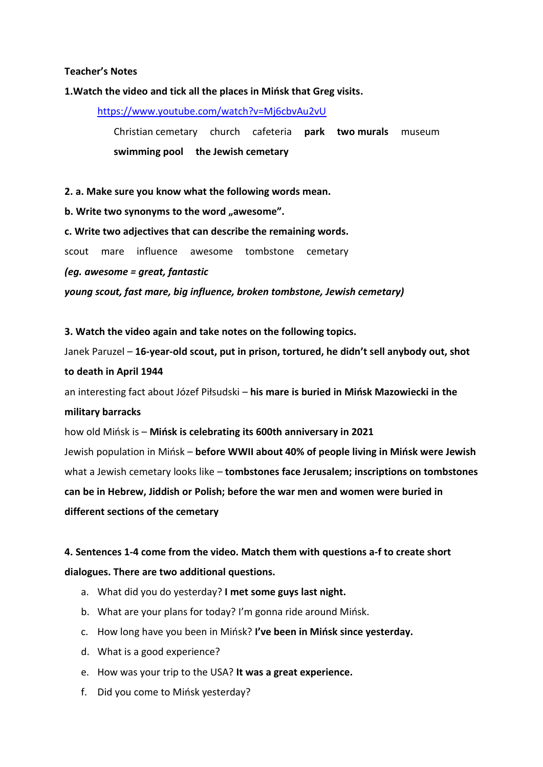### **Teacher's Notes**

### **1.Watch the video and tick all the places in Mińsk that Greg visits.**

<https://www.youtube.com/watch?v=Mj6cbvAu2vU>

Christian cemetary church cafeteria **park two murals** museum **swimming pool the Jewish cemetary**

**2. a. Make sure you know what the following words mean.** 

**b. Write two synonyms to the word "awesome".** 

**c. Write two adjectives that can describe the remaining words.**

scout mare influence awesome tombstone cemetary

*(eg. awesome = great, fantastic*

*young scout, fast mare, big influence, broken tombstone, Jewish cemetary)*

**3. Watch the video again and take notes on the following topics.** Janek Paruzel – **16-year-old scout, put in prison, tortured, he didn't sell anybody out, shot to death in April 1944** an interesting fact about Józef Piłsudski – **his mare is buried in Mińsk Mazowiecki in the military barracks** how old Mińsk is – **Mińsk is celebrating its 600th anniversary in 2021** Jewish population in Mińsk – **before WWII about 40% of people living in Mińsk were Jewish** what a Jewish cemetary looks like – **tombstones face Jerusalem; inscriptions on tombstones can be in Hebrew, Jiddish or Polish; before the war men and women were buried in** 

**different sections of the cemetary**

### **4. Sentences 1-4 come from the video. Match them with questions a-f to create short dialogues. There are two additional questions.**

- a. What did you do yesterday? **I met some guys last night.**
- b. What are your plans for today? I'm gonna ride around Mińsk.
- c. How long have you been in Mińsk? **I've been in Mińsk since yesterday.**
- d. What is a good experience?
- e. How was your trip to the USA? **It was a great experience.**
- f. Did you come to Mińsk yesterday?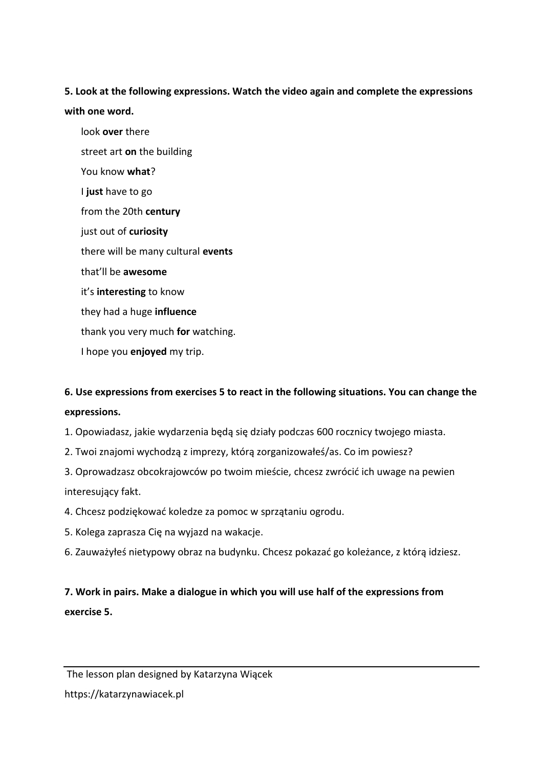# **5. Look at the following expressions. Watch the video again and complete the expressions with one word.**

look **over** there street art **on** the building You know **what**? I **just** have to go from the 20th **century** just out of **curiosity** there will be many cultural **events** that'll be **awesome** it's **interesting** to know they had a huge **influence** thank you very much **for** watching. I hope you **enjoyed** my trip.

## **6. Use expressions from exercises 5 to react in the following situations. You can change the expressions.**

1. Opowiadasz, jakie wydarzenia będą się działy podczas 600 rocznicy twojego miasta.

2. Twoi znajomi wychodzą z imprezy, którą zorganizowałeś/as. Co im powiesz?

3. Oprowadzasz obcokrajowców po twoim mieście, chcesz zwrócić ich uwage na pewien interesujący fakt.

4. Chcesz podziękować koledze za pomoc w sprzątaniu ogrodu.

- 5. Kolega zaprasza Cię na wyjazd na wakacje.
- 6. Zauważyłeś nietypowy obraz na budynku. Chcesz pokazać go koleżance, z którą idziesz.

**7. Work in pairs. Make a dialogue in which you will use half of the expressions from exercise 5.**

The lesson plan designed by Katarzyna Wiącek